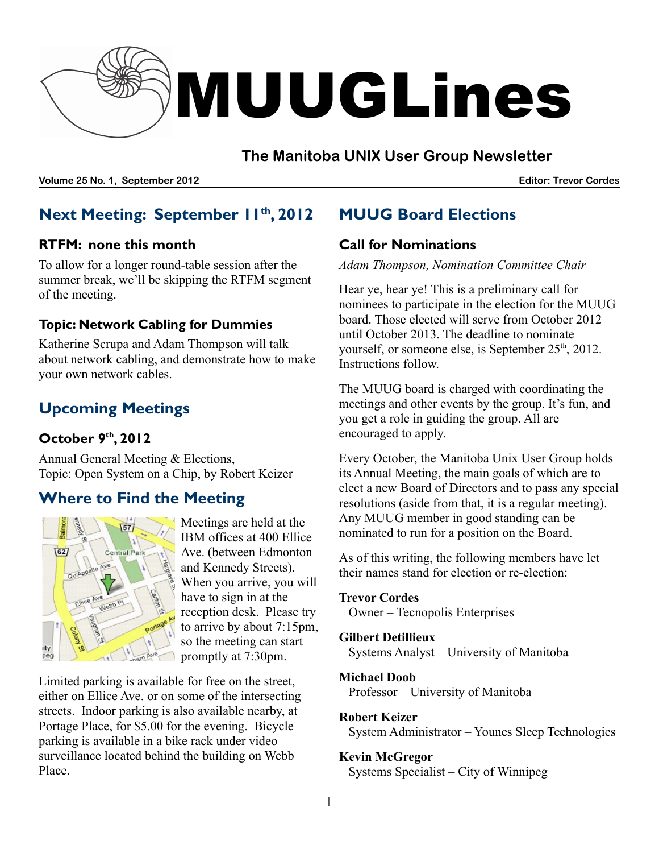

### **The Manitoba UNIX User Group Newsletter**

**Volume 25 No. 1, September 2012 Editor: Trevor Cordes**

# **Next Meeting: September 11 th , 2012**

### **RTFM: none this month**

To allow for a longer round-table session after the summer break, we'll be skipping the RTFM segment of the meeting.

### **Topic: Network Cabling for Dummies**

Katherine Scrupa and Adam Thompson will talk about network cabling, and demonstrate how to make your own network cables.

# **Upcoming Meetings**

### **October 9 th , 2012**

Annual General Meeting & Elections, Topic: Open System on a Chip, by Robert Keizer

# **Where to Find the Meeting**



Meetings are held at the IBM offices at 400 Ellice Ave. (between Edmonton and Kennedy Streets). When you arrive, you will have to sign in at the reception desk. Please try to arrive by about 7:15pm, so the meeting can start promptly at 7:30pm.

Limited parking is available for free on the street, either on Ellice Ave. or on some of the intersecting streets. Indoor parking is also available nearby, at Portage Place, for \$5.00 for the evening. Bicycle parking is available in a bike rack under video surveillance located behind the building on Webb Place.

# **MUUG Board Elections**

### **Call for Nominations**

*Adam Thompson, Nomination Committee Chair*

Hear ye, hear ye! This is a preliminary call for nominees to participate in the election for the MUUG board. Those elected will serve from October 2012 until October 2013. The deadline to nominate yourself, or someone else, is September 25<sup>th</sup>, 2012. Instructions follow.

The MUUG board is charged with coordinating the meetings and other events by the group. It's fun, and you get a role in guiding the group. All are encouraged to apply.

Every October, the Manitoba Unix User Group holds its Annual Meeting, the main goals of which are to elect a new Board of Directors and to pass any special resolutions (aside from that, it is a regular meeting). Any MUUG member in good standing can be nominated to run for a position on the Board.

As of this writing, the following members have let their names stand for election or re-election:

#### **Trevor Cordes**

Owner – Tecnopolis Enterprises

### **Gilbert Detillieux**

Systems Analyst – University of Manitoba

#### **Michael Doob**

Professor – University of Manitoba

#### **Robert Keizer**

System Administrator – Younes Sleep Technologies

#### **Kevin McGregor**

Systems Specialist – City of Winnipeg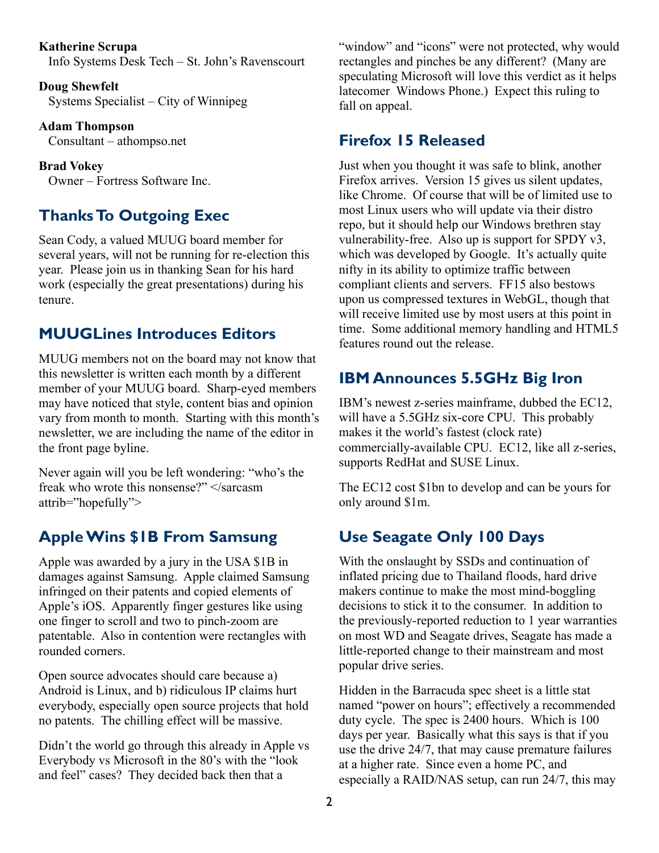#### **Katherine Scrupa**

Info Systems Desk Tech – St. John's Ravenscourt

**Doug Shewfelt** Systems Specialist – City of Winnipeg

**Adam Thompson** Consultant – athompso.net

**Brad Vokey** Owner – Fortress Software Inc.

## **Thanks To Outgoing Exec**

Sean Cody, a valued MUUG board member for several years, will not be running for re-election this year. Please join us in thanking Sean for his hard work (especially the great presentations) during his tenure.

## **MUUGLines Introduces Editors**

MUUG members not on the board may not know that this newsletter is written each month by a different member of your MUUG board. Sharp-eyed members may have noticed that style, content bias and opinion vary from month to month. Starting with this month's newsletter, we are including the name of the editor in the front page byline.

Never again will you be left wondering: "who's the freak who wrote this nonsense?" </sarcasm attrib="hopefully">

## **AppleWins \$1B From Samsung**

Apple was awarded by a jury in the USA \$1B in damages against Samsung. Apple claimed Samsung infringed on their patents and copied elements of Apple's iOS. Apparently finger gestures like using one finger to scroll and two to pinch-zoom are patentable. Also in contention were rectangles with rounded corners.

Open source advocates should care because a) Android is Linux, and b) ridiculous IP claims hurt everybody, especially open source projects that hold no patents. The chilling effect will be massive.

Didn't the world go through this already in Apple vs Everybody vs Microsoft in the 80's with the "look and feel" cases? They decided back then that a

"window" and "icons" were not protected, why would rectangles and pinches be any different? (Many are speculating Microsoft will love this verdict as it helps latecomer Windows Phone.) Expect this ruling to fall on appeal.

### **Firefox 15 Released**

Just when you thought it was safe to blink, another Firefox arrives. Version 15 gives us silent updates, like Chrome. Of course that will be of limited use to most Linux users who will update via their distro repo, but it should help our Windows brethren stay vulnerability-free. Also up is support for SPDY v3, which was developed by Google. It's actually quite nifty in its ability to optimize traffic between compliant clients and servers. FF15 also bestows upon us compressed textures in WebGL, though that will receive limited use by most users at this point in time. Some additional memory handling and HTML5 features round out the release.

## **IBM Announces 5.5GHz Big Iron**

IBM's newest z-series mainframe, dubbed the EC12, will have a 5.5GHz six-core CPU. This probably makes it the world's fastest (clock rate) commercially-available CPU. EC12, like all z-series, supports RedHat and SUSE Linux.

The EC12 cost \$1bn to develop and can be yours for only around \$1m.

# **Use Seagate Only 100 Days**

With the onslaught by SSDs and continuation of inflated pricing due to Thailand floods, hard drive makers continue to make the most mind-boggling decisions to stick it to the consumer. In addition to the previously-reported reduction to 1 year warranties on most WD and Seagate drives, Seagate has made a little-reported change to their mainstream and most popular drive series.

Hidden in the Barracuda spec sheet is a little stat named "power on hours"; effectively a recommended duty cycle. The spec is 2400 hours. Which is 100 days per year. Basically what this says is that if you use the drive 24/7, that may cause premature failures at a higher rate. Since even a home PC, and especially a RAID/NAS setup, can run 24/7, this may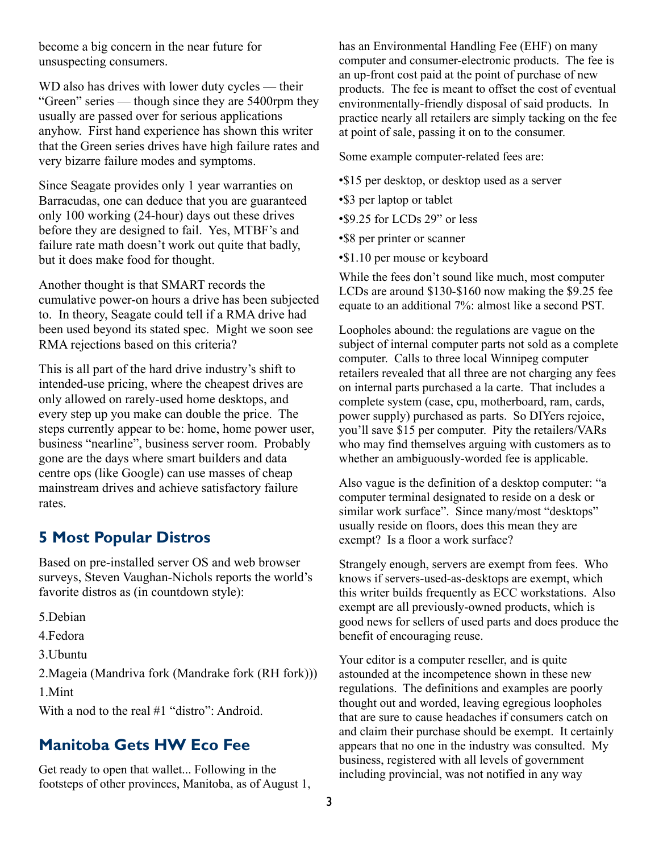become a big concern in the near future for unsuspecting consumers.

WD also has drives with lower duty cycles — their "Green" series — though since they are 5400rpm they usually are passed over for serious applications anyhow. First hand experience has shown this writer that the Green series drives have high failure rates and very bizarre failure modes and symptoms.

Since Seagate provides only 1 year warranties on Barracudas, one can deduce that you are guaranteed only 100 working (24-hour) days out these drives before they are designed to fail. Yes, MTBF's and failure rate math doesn't work out quite that badly, but it does make food for thought.

Another thought is that SMART records the cumulative power-on hours a drive has been subjected to. In theory, Seagate could tell if a RMA drive had been used beyond its stated spec. Might we soon see RMA rejections based on this criteria?

This is all part of the hard drive industry's shift to intended-use pricing, where the cheapest drives are only allowed on rarely-used home desktops, and every step up you make can double the price. The steps currently appear to be: home, home power user, business "nearline", business server room. Probably gone are the days where smart builders and data centre ops (like Google) can use masses of cheap mainstream drives and achieve satisfactory failure rates.

### **5 Most Popular Distros**

Based on pre-installed server OS and web browser surveys, Steven Vaughan-Nichols reports the world's favorite distros as (in countdown style):

- 5.Debian
- 4.Fedora
- 3.Ubuntu

2.Mageia (Mandriva fork (Mandrake fork (RH fork)))

1.Mint

With a nod to the real #1 "distro": Android.

## **Manitoba Gets HW Eco Fee**

Get ready to open that wallet... Following in the footsteps of other provinces, Manitoba, as of August 1, has an Environmental Handling Fee (EHF) on many computer and consumer-electronic products. The fee is an up-front cost paid at the point of purchase of new products. The fee is meant to offset the cost of eventual environmentally-friendly disposal of said products. In practice nearly all retailers are simply tacking on the fee at point of sale, passing it on to the consumer.

Some example computer-related fees are:

- •\$15 per desktop, or desktop used as a server
- •\$3 per laptop or tablet
- •\$9.25 for LCDs 29" or less
- •\$8 per printer or scanner
- •\$1.10 per mouse or keyboard

While the fees don't sound like much, most computer LCDs are around \$130-\$160 now making the \$9.25 fee equate to an additional 7%: almost like a second PST.

Loopholes abound: the regulations are vague on the subject of internal computer parts not sold as a complete computer. Calls to three local Winnipeg computer retailers revealed that all three are not charging any fees on internal parts purchased a la carte. That includes a complete system (case, cpu, motherboard, ram, cards, power supply) purchased as parts. So DIYers rejoice, you'll save \$15 per computer. Pity the retailers/VARs who may find themselves arguing with customers as to whether an ambiguously-worded fee is applicable.

Also vague is the definition of a desktop computer: "a computer terminal designated to reside on a desk or similar work surface". Since many/most "desktops" usually reside on floors, does this mean they are exempt? Is a floor a work surface?

Strangely enough, servers are exempt from fees. Who knows if servers-used-as-desktops are exempt, which this writer builds frequently as ECC workstations. Also exempt are all previously-owned products, which is good news for sellers of used parts and does produce the benefit of encouraging reuse.

Your editor is a computer reseller, and is quite astounded at the incompetence shown in these new regulations. The definitions and examples are poorly thought out and worded, leaving egregious loopholes that are sure to cause headaches if consumers catch on and claim their purchase should be exempt. It certainly appears that no one in the industry was consulted. My business, registered with all levels of government including provincial, was not notified in any way